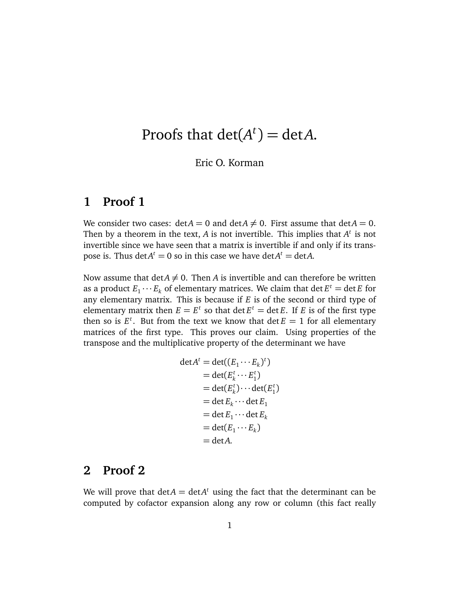## Proofs that  $\det(A^t) = \det A$ .

## Eric O. Korman

## **1 Proof 1**

We consider two cases:  $\det A = 0$  and  $\det A \neq 0$ . First assume that  $\det A = 0$ . Then by a theorem in the text,  $A$  is not invertible. This implies that  $A<sup>t</sup>$  is not invertible since we have seen that a matrix is invertible if and only if its transpose is. Thus  $\det A^t = 0$  so in this case we have  $\det A^t = \det A$ .

Now assume that  $\det A \neq 0$ . Then *A* is invertible and can therefore be written as a product  $E_1 \cdots E_k$  of elementary matrices. We claim that  $\det E^t = \det E$  for any elementary matrix. This is because if *E* is of the second or third type of elementary matrix then  $E = E^t$  so that  $\det E^t = \det E$ . If *E* is of the first type then so is  $E^t$ . But from the text we know that  $\det E = 1$  for all elementary matrices of the first type. This proves our claim. Using properties of the transpose and the multiplicative property of the determinant we have

$$
\det A^t = \det((E_1 \cdots E_k)^t)
$$
  
= 
$$
\det(E_k^t \cdots E_1^t)
$$
  
= 
$$
\det(E_k^t) \cdots \det(E_1^t)
$$
  
= 
$$
\det E_k \cdots \det E_1
$$
  
= 
$$
\det(E_1 \cdots E_k)
$$
  
= 
$$
\det(A.
$$

## **2 Proof 2**

We will prove that  $det A = det A^t$  using the fact that the determinant can be computed by cofactor expansion along any row or column (this fact really